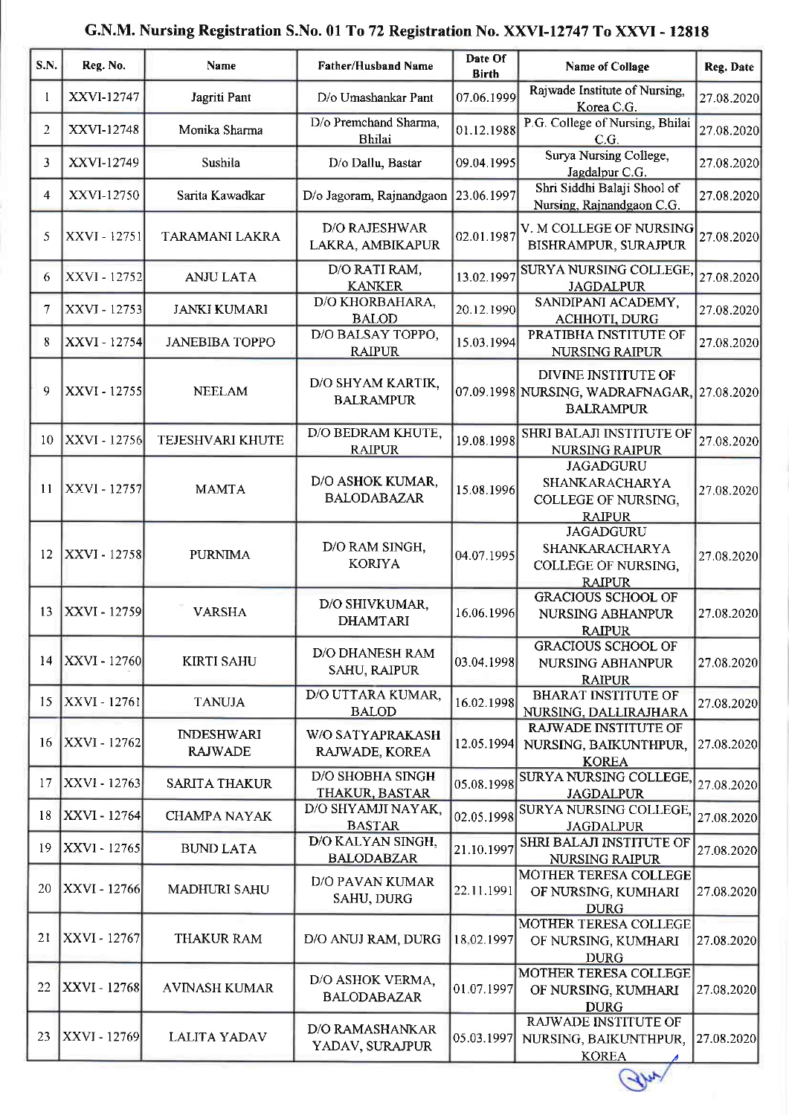| <b>S.N.</b>       | Reg. No.            | Name                                | <b>Father/Husband Name</b>               | Date Of<br><b>Birth</b> | <b>Name of Collage</b>                                                                 | Reg. Date  |
|-------------------|---------------------|-------------------------------------|------------------------------------------|-------------------------|----------------------------------------------------------------------------------------|------------|
|                   | XXVI-12747          | Jagriti Pant                        | D/o Umashankar Pant                      | 07.06.1999              | Rajwade Institute of Nursing,<br>Korea C.G.                                            | 27.08.2020 |
| $\overline{2}$    | XXVI-12748          | Monika Sharma                       | D/o Premchand Sharma,<br>Bhilai          | 01.12.1988              | P.G. College of Nursing, Bhilai<br>C.G.                                                | 27.08.2020 |
| 3                 | XXVI-12749          | Sushila                             | D/o Dallu, Bastar                        | 09.04.1995              | Surya Nursing College,<br>Jagdalpur C.G.                                               | 27.08.2020 |
| 4                 | XXVI-12750          | Sarita Kawadkar                     | D/o Jagoram, Rajnandgaon                 | 23.06.1997              | Shri Siddhi Balaji Shool of<br>Nursing, Rajnandgaon C.G.                               | 27.08.2020 |
| 5                 | XXVI - 12751        | TARAMANI LAKRA                      | <b>D/O RAJESHWAR</b><br>LAKRA, AMBIKAPUR | 02.01.1987              | V. M COLLEGE OF NURSING<br>BISHRAMPUR, SURAJPUR                                        | 27.08.2020 |
| 6                 | XXVI - 12752        | <b>ANJU LATA</b>                    | D/O RATI RAM,<br><b>KANKER</b>           | 13.02.1997              | SURYA NURSING COLLEGE.<br><b>JAGDALPUR</b>                                             | 27.08.2020 |
| 7                 | XXVI - 12753        | <b>JANKI KUMARI</b>                 | D/O KHORBAHARA,<br><b>BALOD</b>          | 20.12.1990              | SANDIPANI ACADEMY,<br><b>ACHHOTI, DURG</b>                                             | 27.08.2020 |
| 8                 | <b>XXVI</b> - 12754 | <b>JANEBIBA TOPPO</b>               | D/O BALSAY TOPPO,<br><b>RAIPUR</b>       | 15.03.1994              | PRATIBHA INSTITUTE OF<br><b>NURSING RAIPUR</b>                                         | 27.08.2020 |
| 9                 | XXVI - 12755        | <b>NEELAM</b>                       | D/O SHYAM KARTIK,<br><b>BALRAMPUR</b>    |                         | DIVINE INSTITUTE OF<br>07.09.1998 NURSING, WADRAFNAGAR, 27.08.2020<br><b>BALRAMPUR</b> |            |
| 10                | XXVI - 12756        | TEJESHVARI KHUTE                    | D/O BEDRAM KHUTE,<br><b>RAIPUR</b>       | 19.08.1998              | SHRI BALAJI INSTITUTE OF<br><b>NURSING RAIPUR</b>                                      | 27.08.2020 |
| 11                | XXVI - 12757        | <b>MAMTA</b>                        | D/O ASHOK KUMAR,<br><b>BALODABAZAR</b>   | 15.08.1996              | <b>JAGADGURU</b><br>SHANKARACHARYA<br>COLLEGE OF NURSING,<br><b>RAIPUR</b>             | 27.08.2020 |
| $12 \overline{ }$ | <b>XXVI</b> - 12758 | <b>PURNIMA</b>                      | D/O RAM SINGH,<br><b>KORIYA</b>          | 04.07.1995              | <b>JAGADGURU</b><br>SHANKARACHARYA<br>COLLEGE OF NURSING,<br><b>RAIPUR</b>             | 27.08.2020 |
| 13                | XXVI - 12759        | <b>VARSHA</b>                       | D/O SHIVKUMAR,<br><b>DHAMTARI</b>        | 16.06.1996              | <b>GRACIOUS SCHOOL OF</b><br>NURSING ABHANPUR<br><b>RAIPUR</b>                         | 27.08.2020 |
| 14                | XXVI - 12760        | <b>KIRTI SAHU</b>                   | D/O DHANESH RAM<br><b>SAHU, RAIPUR</b>   | 03.04.1998              | <b>GRACIOUS SCHOOL OF</b><br>NURSING ABHANPUR<br><b>RAIPUR</b>                         | 27.08.2020 |
| 15                | XXVI - 12761        | <b>TANUJA</b>                       | D/O UTTARA KUMAR,<br><b>BALOD</b>        | 16.02.1998              | <b>BHARAT INSTITUTE OF</b><br>NURSING, DALLIRAJHARA                                    | 27.08.2020 |
| 16                | XXVI - 12762        | <b>INDESHWARI</b><br><b>RAJWADE</b> | W/O SATYAPRAKASH<br>RAJWADE, KOREA       | 12.05.1994              | RAJWADE INSTITUTE OF<br>NURSING, BAIKUNTHPUR,<br><b>KOREA</b>                          | 27.08.2020 |
| 17                | XXVI - 12763        | <b>SARITA THAKUR</b>                | D/O SHOBHA SINGH<br>THAKUR, BASTAR       | 05.08.1998              | <b>SURYA NURSING COLLEGE</b><br><b>JAGDALPUR</b>                                       | 27.08.2020 |
| 18                | XXVI - 12764        | <b>CHAMPA NAYAK</b>                 | D/O SHYAMJI NAYAK,<br><b>BASTAR</b>      | 02.05.1998              | SURYA NURSING COLLEGE<br><b>JAGDALPUR</b>                                              | 27.08.2020 |
| 19                | XXVI - 12765        | <b>BUND LATA</b>                    | D/O KALYAN SINGH,<br><b>BALODABZAR</b>   | 21.10.1997              | SHRI BALAJI INSTITUTE OF<br><b>NURSING RAIPUR</b>                                      | 27.08.2020 |
| 20                | XXVI - 12766        | <b>MADHURI SAHU</b>                 | D/O PAVAN KUMAR<br>SAHU, DURG            | 22.11.1991              | MOTHER TERESA COLLEGE<br>OF NURSING, KUMHARI<br><b>DURG</b>                            | 27.08.2020 |
| 21                | XXVI - 12767        | THAKUR RAM                          | D/O ANUJ RAM, DURG                       | 18.02.1997              | MOTHER TERESA COLLEGE<br>OF NURSING, KUMHARI<br><b>DURG</b>                            | 27.08.2020 |
| 22                | XXVI - 12768        | <b>AVINASH KUMAR</b>                | D/O ASHOK VERMA,<br><b>BALODABAZAR</b>   | 01.07.1997              | MOTHER TERESA COLLEGE<br>OF NURSING, KUMHARI<br><b>DURG</b>                            | 27 08 2020 |
| 23                | XXVI - 12769        | LALITA YADAV                        | D/O RAMASHANKAR<br>YADAV, SURAJPUR       | 05.03.1997              | RAJWADE INSTITUTE OF<br>NURSING, BAIKUNTHPUR,<br><b>KOREA</b>                          | 27.08.2020 |

## G.N.M, Nursing Registration S.No. 01 To 72 Registration No. XXVI-12747 To XXVI - 12818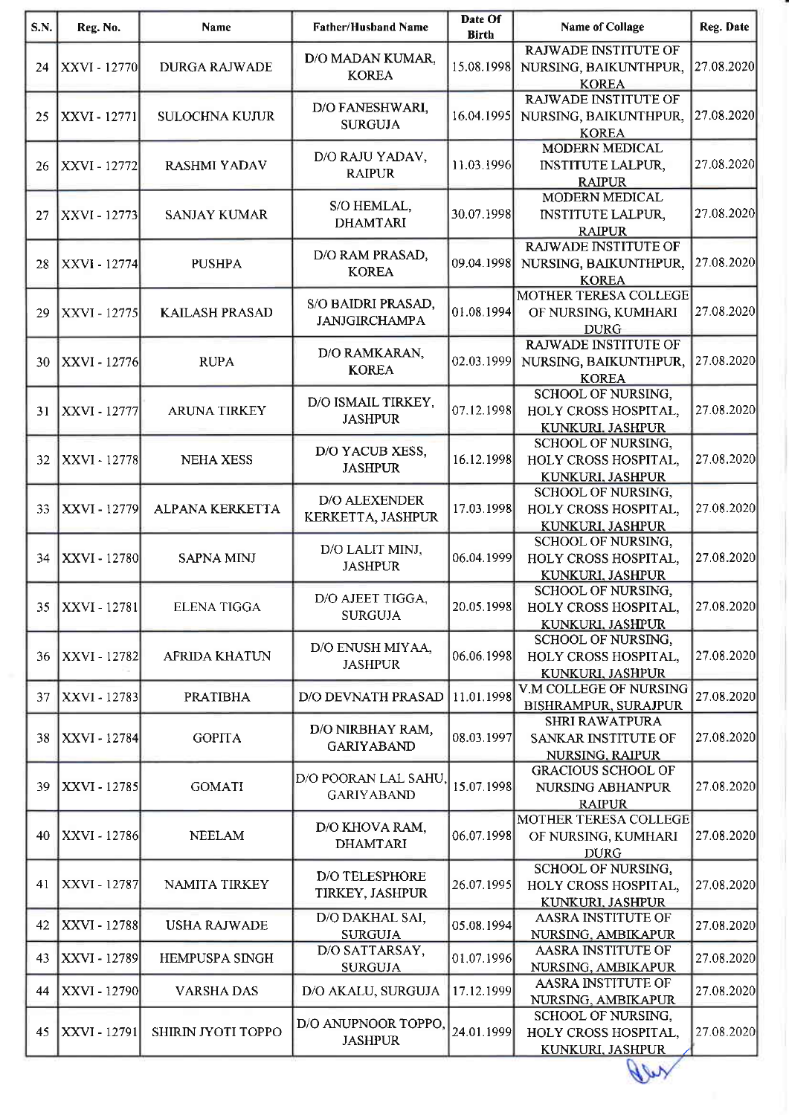| S.N. | Reg. No.     | Name                  | <b>Father/Husband Name</b>                 | Date Of<br><b>Birth</b> | <b>Name of Collage</b>                                               | Reg. Date  |
|------|--------------|-----------------------|--------------------------------------------|-------------------------|----------------------------------------------------------------------|------------|
| 24   | XXVI - 12770 | <b>DURGA RAJWADE</b>  | D/O MADAN KUMAR,<br><b>KOREA</b>           | 15.08.1998              | RAJWADE INSTITUTE OF<br>NURSING, BAIKUNTHPUR,<br><b>KOREA</b>        | 27.08.2020 |
| 25   | XXVI - 12771 | <b>SULOCHNA KUJUR</b> | D/O FANESHWARI,<br><b>SURGUJA</b>          | 16.04.1995              | <b>RAJWADE INSTITUTE OF</b><br>NURSING, BAIKUNTHPUR,<br><b>KOREA</b> | 27.08.2020 |
| 26   | XXVI - 12772 | <b>RASHMI YADAV</b>   | D/O RAJU YADAV,<br><b>RAIPUR</b>           | 11.03.1996              | <b>MODERN MEDICAL</b><br><b>INSTITUTE LALPUR,</b><br><b>RAIPUR</b>   | 27.08.2020 |
| 27   | XXVI - 12773 | <b>SANJAY KUMAR</b>   | S/O HEMLAL,<br><b>DHAMTARI</b>             | 30.07.1998              | MODERN MEDICAL<br><b>INSTITUTE LALPUR,</b><br><b>RAIPUR</b>          | 27.08.2020 |
| 28   | XXVI - 12774 | <b>PUSHPA</b>         | D/O RAM PRASAD,<br><b>KOREA</b>            | 09.04.1998              | RAJWADE INSTITUTE OF<br>NURSING, BAIKUNTHPUR,<br><b>KOREA</b>        | 27.08.2020 |
| 29   | XXVI - 12775 | <b>KAILASH PRASAD</b> | S/O BAIDRI PRASAD,<br><b>JANJGIRCHAMPA</b> | 01.08.1994              | <b>MOTHER TERESA COLLEGE</b><br>OF NURSING, KUMHARI<br><b>DURG</b>   | 27.08.2020 |
| 30   | XXVI - 12776 | <b>RUPA</b>           | D/O RAMKARAN,<br><b>KOREA</b>              | 02.03.1999              | RAJWADE INSTITUTE OF<br>NURSING, BAIKUNTHPUR,<br><b>KOREA</b>        | 27.08.2020 |
| 31   | XXVI - 12777 | ARUNA TIRKEY          | D/O ISMAIL TIRKEY,<br><b>JASHPUR</b>       | 07.12.1998              | SCHOOL OF NURSING,<br>HOLY CROSS HOSPITAL,<br>KUNKURI. JASHPUR       | 27.08.2020 |
| 32   | XXVI - 12778 | <b>NEHA XESS</b>      | D/O YACUB XESS,<br><b>JASHPUR</b>          | 16.12.1998              | SCHOOL OF NURSING,<br>HOLY CROSS HOSPITAL,<br>KUNKURI, JASHPUR       | 27.08.2020 |
| 33   | XXVI - 12779 | ALPANA KERKETTA       | D/O ALEXENDER<br>KERKETTA, JASHPUR         | 17.03.1998              | SCHOOL OF NURSING,<br>HOLY CROSS HOSPITAL,<br>KUNKURI, JASHPUR       | 27.08.2020 |
| 34   | XXVI - 12780 | <b>SAPNA MINJ</b>     | D/O LALIT MINJ,<br><b>JASHPUR</b>          | 06.04.1999              | SCHOOL OF NURSING,<br>HOLY CROSS HOSPITAL,<br>KUNKURI, JASHPUR       | 27.08.2020 |
| 35   | XXVI - 12781 | <b>ELENA TIGGA</b>    | D/O AJEET TIGGA,<br><b>SURGUJA</b>         | 20.05.1998              | SCHOOL OF NURSING,<br>HOLY CROSS HOSPITAL,<br>KUNKURI, JASHPUR       | 27.08.2020 |
| 36   | XXVI - 12782 | <b>AFRIDA KHATUN</b>  | D/O ENUSH MIYAA,<br><b>JASHPUR</b>         | 06.06.1998              | SCHOOL OF NURSING,<br>HOLY CROSS HOSPITAL,<br>KUNKURI, JASHPUR       | 27.08.2020 |
| 37   | XXVI - 12783 | <b>PRATIBHA</b>       | <b>D/O DEVNATH PRASAD</b>                  | 11.01.1998              | V.M COLLEGE OF NURSING<br><b>BISHRAMPUR, SURAJPUR</b>                | 27.08.2020 |
| 38   | XXVI - 12784 | <b>GOPITA</b>         | D/O NIRBHAY RAM,<br><b>GARIYABAND</b>      | 08.03.1997              | <b>SHRI RAWATPURA</b><br>SANKAR INSTITUTE OF<br>NURSING, RAIPUR      | 27.08.2020 |
| 39   | XXVI - 12785 | <b>GOMATI</b>         | D/O POORAN LAL SAHU,<br><b>GARIYABAND</b>  | 15.07.1998              | <b>GRACIOUS SCHOOL OF</b><br>NURSING ABHANPUR<br><b>RAIPUR</b>       | 27.08.2020 |
| 40   | XXVI - 12786 | <b>NEELAM</b>         | D/O KHOVA RAM,<br><b>DHAMTARI</b>          | 06.07.1998              | MOTHER TERESA COLLEGE<br>OF NURSING, KUMHARI<br><b>DURG</b>          | 27.08.2020 |
| 41   | XXVI - 12787 | NAMITA TIRKEY         | D/O TELESPHORE<br>TIRKEY, JASHPUR          | 26.07.1995              | SCHOOL OF NURSING,<br>HOLY CROSS HOSPITAL,<br>KUNKURI, JASHPUR       | 27.08.2020 |
| 42   | XXVI - 12788 | <b>USHA RAJWADE</b>   | D/O DAKHAL SAI,<br><b>SURGUJA</b>          | 05.08.1994              | <b>AASRA INSTITUTE OF</b><br>NURSING, AMBIKAPUR                      | 27.08.2020 |
| 43   | XXVI - 12789 | HEMPUSPA SINGH        | D/O SATTARSAY,<br><b>SURGUJA</b>           | 01.07.1996              | <b>AASRA INSTITUTE OF</b><br>NURSING, AMBIKAPUR                      | 27.08.2020 |
| 44   | XXVI - 12790 | <b>VARSHA DAS</b>     | D/O AKALU, SURGUJA                         | 17.12.1999              | AASRA INSTITUTE OF<br>NURSING, AMBIKAPUR                             | 27.08.2020 |
| 45   | XXVI - 12791 | SHIRIN JYOTI TOPPO    | D/O ANUPNOOR TOPPO,<br><b>JASHPUR</b>      | 24.01.1999              | SCHOOL OF NURSING,<br>HOLY CROSS HOSPITAL,<br>KUNKURI, JASHPUR       | 27.08.2020 |

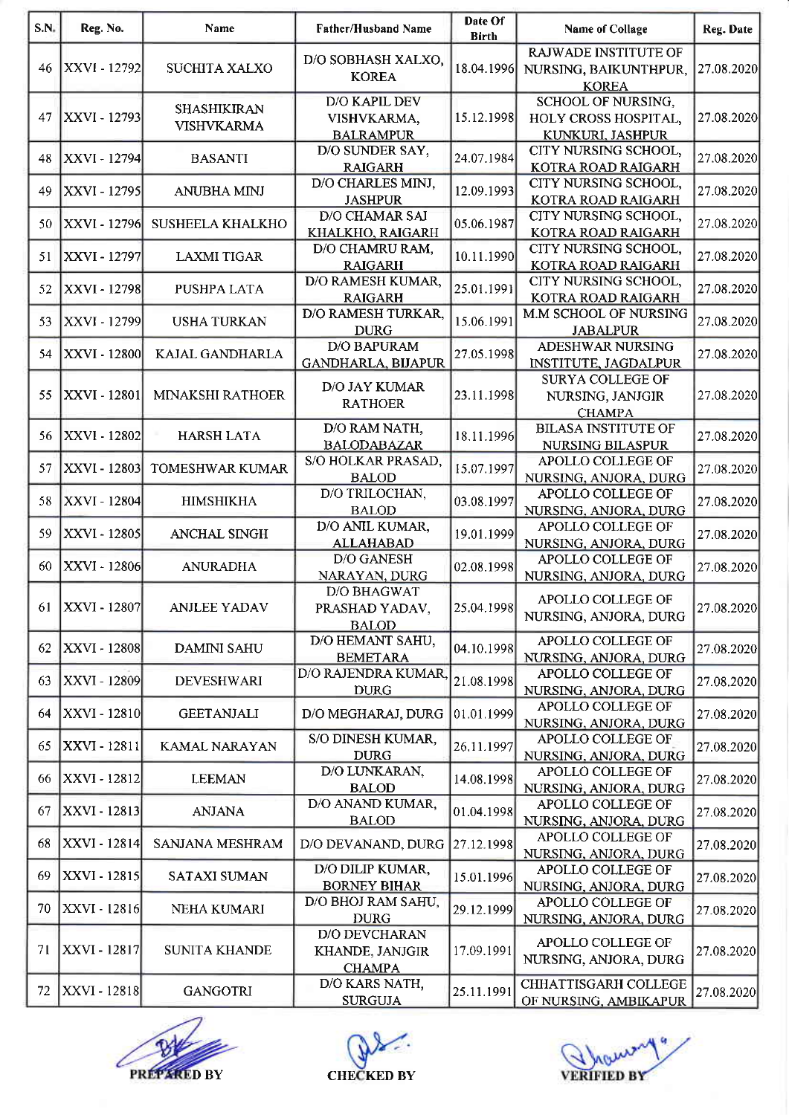| S.N. | Reg. No.            | <b>Name</b>                             | Father/Husband Name                                      | Date Of<br><b>Birth</b> | <b>Name of Collage</b>                                                | Reg. Date  |
|------|---------------------|-----------------------------------------|----------------------------------------------------------|-------------------------|-----------------------------------------------------------------------|------------|
| 46   | XXVI - 12792        | SUCHITA XALXO                           | D/O SOBHASH XALXO,<br><b>KOREA</b>                       | 18.04.1996              | <b>RAJWADE INSTITUTE OF</b><br>NURSING, BAIKUNTHPUR,<br><b>KOREA</b>  | 27.08.2020 |
| 47   | XXVI - 12793        | <b>SHASHIKIRAN</b><br><b>VISHVKARMA</b> | <b>D/O KAPIL DEV</b><br>VISHVKARMA,<br><b>BALRAMPUR</b>  | 15.12.1998              | <b>SCHOOL OF NURSING,</b><br>HOLY CROSS HOSPITAL,<br>KUNKURI, JASHPUR | 27.08.2020 |
| 48   | XXVI - 12794        | <b>BASANTI</b>                          | D/O SUNDER SAY,<br><b>RAIGARH</b>                        | 24.07.1984              | CITY NURSING SCHOOL,<br>KOTRA ROAD RAIGARH                            | 27.08.2020 |
| 49   | XXVI - 12795        | ANUBHA MINJ                             | D/O CHARLES MINJ,<br><b>JASHPUR</b>                      | 12.09.1993              | <b>CITY NURSING SCHOOL,</b><br>KOTRA ROAD RAIGARH                     | 27.08.2020 |
| 50   | XXVI - 12796        | <b>SUSHEELA KHALKHO</b>                 | <b>D/O CHAMAR SAI</b><br>KHALKHO, RAIGARH                | 05.06.1987              | CITY NURSING SCHOOL,<br>KOTRA ROAD RAIGARH                            | 27.08.2020 |
| 51   | XXVI - 12797        | <b>LAXMI TIGAR</b>                      | D/O CHAMRU RAM,<br><b>RAIGARH</b>                        | 10.11.1990              | CITY NURSING SCHOOL,<br>KOTRA ROAD RAIGARH                            | 27.08.2020 |
| 52   | XXVI - 12798        | PUSHPA LATA                             | D/O RAMESH KUMAR,<br><b>RAIGARH</b>                      | 25.01.1991              | CITY NURSING SCHOOL,<br>KOTRA ROAD RAIGARH                            | 27.08.2020 |
| 53   | XXVI - 12799        | <b>USHA TURKAN</b>                      | D/O RAMESH TURKAR,<br><b>DURG</b>                        | 15.06.1991              | M.M SCHOOL OF NURSING<br><b>JABALPUR</b>                              | 27.08.2020 |
| 54   | XXVI - 12800        | KAJAL GANDHARLA                         | <b>D/O BAPURAM</b><br><b>GANDHARLA, BIJAPUR</b>          | 27.05.1998              | ADESHWAR NURSING<br><b>INSTITUTE, JAGDALPUR</b>                       | 27.08.2020 |
| 55   | <b>XXVI - 12801</b> | MINAKSHI RATHOER                        | D/O JAY KUMAR<br><b>RATHOER</b>                          | 23.11.1998              | <b>SURYA COLLEGE OF</b><br>NURSING, JANJGIR<br><b>CHAMPA</b>          | 27.08.2020 |
| 56   | <b>XXVI - 12802</b> | <b>HARSH LATA</b>                       | D/O RAM NATH,<br><b>BALODABAZAR</b>                      | 18.11.1996              | <b>BILASA INSTITUTE OF</b><br>NURSING BILASPUR                        | 27.08.2020 |
| 57   | XXVI - 12803        | TOMESHWAR KUMAR                         | S/O HOLKAR PRASAD,<br><b>BALOD</b>                       | 15.07.1997              | APOLLO COLLEGE OF<br>NURSING, ANJORA, DURG                            | 27.08.2020 |
| 58   | XXVI - 12804        | <b>HIMSHIKHA</b>                        | D/O TRILOCHAN,<br><b>BALOD</b>                           | 03.08.1997              | APOLLO COLLEGE OF<br>NURSING, ANJORA, DURG                            | 27.08.2020 |
| 59   | XXVI - 12805        | <b>ANCHAL SINGH</b>                     | D/O ANIL KUMAR,<br><b>ALLAHABAD</b>                      | 19.01.1999              | APOLLO COLLEGE OF<br>NURSING, ANJORA, DURG                            | 27.08.2020 |
| 60   | XXVI - 12806        | <b>ANURADHA</b>                         | <b>D/O GANESH</b><br>NARAYAN, DURG                       | 02.08.1998              | APOLLO COLLEGE OF<br>NURSING, ANJORA, DURG                            | 27.08.2020 |
| 61   | XXVI - 12807        | <b>ANJLEE YADAV</b>                     | <b>D/O BHAGWAT</b><br>PRASHAD YADAV,<br><b>BALOD</b>     | 25.04.1998              | APOLLO COLLEGE OF<br>NURSING, ANJORA, DURG                            | 27.08.2020 |
| 62.  | <b>XXVI</b> - 12808 | <b>DAMINI SAHU</b>                      | D/O HEMANT SAHU,<br><b>BEMETARA</b>                      | 04.10.1998              | APOLLO COLLEGE OF<br>NURSING, ANJORA, DURG                            | 27.08.2020 |
| 63   | XXVI - 12809        | <b>DEVESHWARI</b>                       | D/O RAJENDRA KUMAR,<br><b>DURG</b>                       | 21.08.1998              | APOLLO COLLEGE OF<br>NURSING, ANJORA, DURG                            | 27.08.2020 |
| 64   | XXVI - 12810        | <b>GEETANJALI</b>                       | D/O MEGHARAJ, DURG                                       | 01.01.1999              | APOLLO COLLEGE OF<br>NURSING, ANJORA, DURG                            | 27.08.2020 |
| 65.  | <b>XXVI - 12811</b> | KAMAL NARAYAN                           | S/O DINESH KUMAR,<br><b>DURG</b>                         | 26.11.1997              | APOLLO COLLEGE OF<br>NURSING, ANJORA, DURG                            | 27.08.2020 |
| 66   | XXVI - 12812        | <b>LEEMAN</b>                           | D/O LUNKARAN,<br><b>BALOD</b>                            | 14.08.1998              | APOLLO COLLEGE OF<br>NURSING, ANJORA, DURG                            | 27.08.2020 |
| 67   | XXVI - 12813        | <b>ANJANA</b>                           | D/O ANAND KUMAR,<br><b>BALOD</b>                         | 01.04.1998              | APOLLO COLLEGE OF<br>NURSING, ANJORA, DURG                            | 27.08.2020 |
| 68   | XXVI - 12814        | SANJANA MESHRAM                         | D/O DEVANAND, DURG                                       | 27.12.1998              | APOLLO COLLEGE OF<br>NURSING, ANJORA, DURG                            | 27.08.2020 |
| 69   | XXVI - 12815        | SATAXI SUMAN                            | D/O DILIP KUMAR,<br><b>BORNEY BIHAR</b>                  | 15.01.1996              | APOLLO COLLEGE OF<br>NURSING, ANJORA, DURG                            | 27.08.2020 |
| 70   | <b>XXVI</b> - 12816 | NEHA KUMARI                             | D/O BHOJ RAM SAHU,<br><b>DURG</b>                        | 29.12.1999              | APOLLO COLLEGE OF<br>NURSING, ANJORA, DURG                            | 27.08.2020 |
| 71   | XXVI - 12817        | <b>SUNITA KHANDE</b>                    | <b>D/O DEVCHARAN</b><br>KHANDE, JANJGIR<br><b>CHAMPA</b> | 17.09.1991              | APOLLO COLLEGE OF<br>NURSING, ANJORA, DURG                            | 27.08.2020 |
| 72   | XXVI - 12818        | <b>GANGOTRI</b>                         | D/O KARS NATH,<br><b>SURGUJA</b>                         | 25.11.1991              | CHHATTISGARH COLLEGE<br>OF NURSING, AMBIKAPUR                         | 27.08.2020 |

PREPARED BY CHECKED BY ı



VERIFIED BY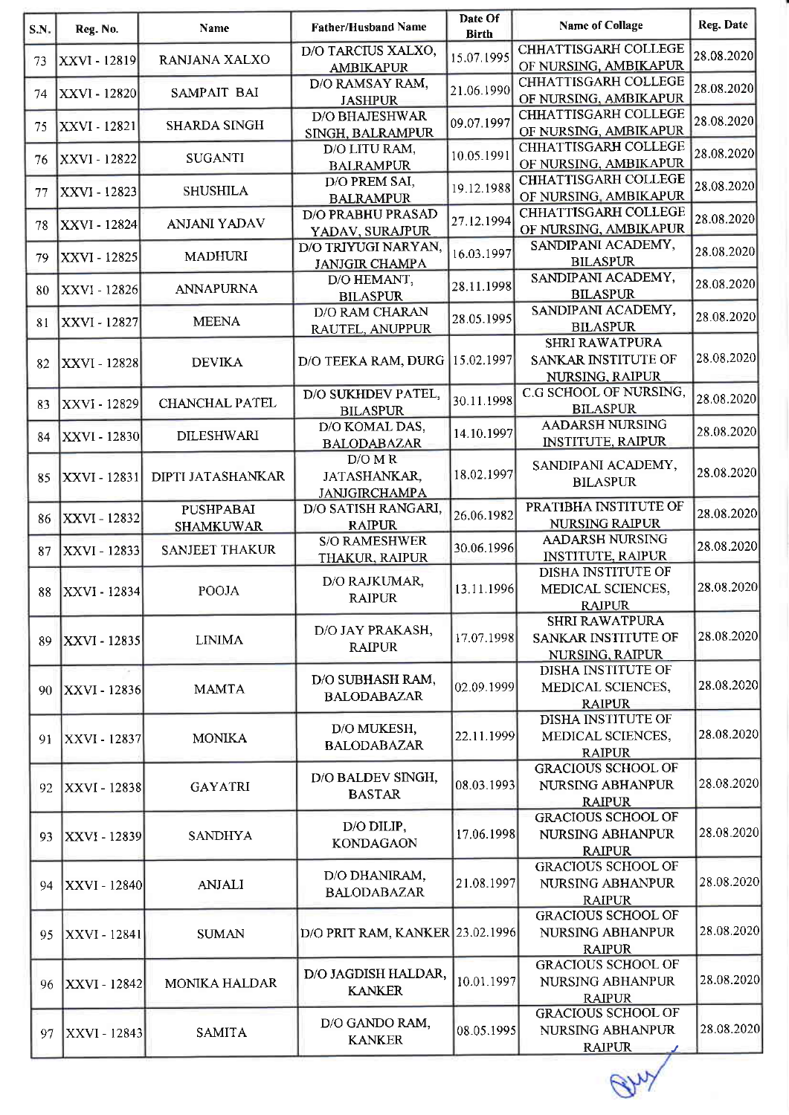| S.N. | Reg. No.            | <b>Name</b>                          | <b>Father/Husband Name</b>                    | Date Of<br><b>Birth</b> | <b>Name of Collage</b>                                                 | Reg. Date  |
|------|---------------------|--------------------------------------|-----------------------------------------------|-------------------------|------------------------------------------------------------------------|------------|
| 73   | XXVI - 12819        | RANJANA XALXO                        | D/O TARCIUS XALXO,<br><b>AMBIKAPUR</b>        | 15.07.1995              | <b>CHHATTISGARH COLLEGE</b><br>OF NURSING, AMBIKAPUR                   | 28.08.2020 |
| 74   | XXVI - 12820        | SAMPAIT BAI                          | D/O RAMSAY RAM,<br><b>JASHPUR</b>             | 21.06.1990              | <b>CHHATTISGARH COLLEGE</b><br>OF NURSING, AMBIKAPUR                   | 28.08.2020 |
| 75   | XXVI - 12821        | <b>SHARDA SINGH</b>                  | <b>D/O BHAJESHWAR</b><br>SINGH, BALRAMPUR     | 09.07.1997              | <b>CHHATTISGARH COLLEGE</b><br>OF NURSING, AMBIKAPUR                   | 28.08.2020 |
| 76   | XXVI - 12822        | <b>SUGANTI</b>                       | D/O LITU RAM,<br><b>BALRAMPUR</b>             | 10.05.1991              | <b>CHHATTISGARH COLLEGE</b><br>OF NURSING, AMBIKAPUR                   | 28.08.2020 |
| 77   | XXVI - 12823        | <b>SHUSHILA</b>                      | D/O PREM SAI,<br><b>BALRAMPUR</b>             | 19.12.1988              | CHHATTISGARH COLLEGE<br>OF NURSING, AMBIKAPUR                          | 28.08.2020 |
| 78   | XXVI - 12824        | <b>ANJANI YADAV</b>                  | <b>D/O PRABHU PRASAD</b><br>YADAV, SURAJPUR   | 27.12.1994              | <b>CHHATTISGARH COLLEGE</b><br>OF NURSING, AMBIKAPUR                   | 28.08.2020 |
| 79.  | XXVI - 12825        | <b>MADHURI</b>                       | D/O TRIYUGI NARYAN,<br><b>JANJGIR CHAMPA</b>  | 16.03.1997              | SANDIPANI ACADEMY,<br><b>BILASPUR</b>                                  | 28.08.2020 |
| 80   | XXVI - 12826        | <b>ANNAPURNA</b>                     | D/O HEMANT,<br><b>BILASPUR</b>                | 28.11.1998              | SANDIPANI ACADEMY,<br><b>BILASPUR</b>                                  | 28.08.2020 |
| 81   | XXVI - 12827        | <b>MEENA</b>                         | D/O RAM CHARAN<br>RAUTEL, ANUPPUR             | 28.05.1995              | SANDIPANI ACADEMY,<br><b>BILASPUR</b>                                  | 28.08.2020 |
| 82   | <b>XXVI - 12828</b> | <b>DEVIKA</b>                        | D/O TEEKA RAM, DURG                           | 15.02.1997              | <b>SHRI RAWATPURA</b><br><b>SANKAR INSTITUTE OF</b><br>NURSING, RAIPUR | 28.08.2020 |
| 83   | XXVI - 12829        | <b>CHANCHAL PATEL</b>                | D/O SUKHDEV PATEL,<br><b>BILASPUR</b>         | 30.11.1998              | C.G SCHOOL OF NURSING,<br><b>BILASPUR</b>                              | 28.08.2020 |
| 84   | XXVI - 12830        | <b>DILESHWARI</b>                    | D/O KOMAL DAS,<br><b>BALODABAZAR</b>          | 14.10.1997              | <b>AADARSH NURSING</b><br><b>INSTITUTE, RAIPUR</b>                     | 28.08.2020 |
| 85   | XXVI - 12831        | DIPTI JATASHANKAR                    | D/OMR<br>JATASHANKAR,<br><b>JANJGIRCHAMPA</b> | 18.02.1997              | SANDIPANI ACADEMY,<br><b>BILASPUR</b>                                  | 28.08.2020 |
| 86   | XXVI - 12832        | <b>PUSHPABAI</b><br><b>SHAMKUWAR</b> | D/O SATISH RANGARI,<br><b>RAIPUR</b>          | 26.06.1982              | PRATIBHA INSTITUTE OF<br><b>NURSING RAIPUR</b>                         | 28.08.2020 |
| 87   | XXVI - 12833        | <b>SANJEET THAKUR</b>                | <b>S/O RAMESHWER</b><br>THAKUR, RAIPUR        | 30.06.1996              | <b>AADARSH NURSING</b><br><b>INSTITUTE, RAIPUR</b>                     | 28.08.2020 |
| 88   | <b>XXVI</b> - 12834 | POOJA                                | D/O RAJKUMAR,<br><b>RAIPUR</b>                | 13.11.1996              | DISHA INSTITUTE OF<br>MEDICAL SCIENCES,<br><b>RAIPUR</b>               | 28.08.2020 |
| 89   | <b>XXVI - 12835</b> | <b>LINIMA</b>                        | D/O JAY PRAKASH,<br><b>RAIPUR</b>             | 17.07.1998              | <b>SHRI RAWATPURA</b><br>SANKAR INSTITUTE OF<br>NURSING, RAIPUR        | 28.08.2020 |
| 90   | XXVI - 12836        | <b>MAMTA</b>                         | D/O SUBHASH RAM,<br><b>BALODABAZAR</b>        | 02.09.1999              | <b>DISHA INSTITUTE OF</b><br>MEDICAL SCIENCES,<br><b>RAIPUR</b>        | 28.08.2020 |
| 91   | <b>XXVI - 12837</b> | <b>MONIKA</b>                        | D/O MUKESH,<br><b>BALODABAZAR</b>             | 22.11.1999              | <b>DISHA INSTITUTE OF</b><br>MEDICAL SCIENCES,<br><b>RAIPUR</b>        | 28.08.2020 |
| 92   | <b>XXVI - 12838</b> | <b>GAYATRI</b>                       | D/O BALDEV SINGH,<br><b>BASTAR</b>            | 08.03.1993              | <b>GRACIOUS SCHOOL OF</b><br>NURSING ABHANPUR<br><b>RAIPUR</b>         | 28.08.2020 |
| 93   | <b>XXVI - 12839</b> | <b>SANDHYA</b>                       | D/O DILIP,<br><b>KONDAGAON</b>                | 17.06.1998              | <b>GRACIOUS SCHOOL OF</b><br>NURSING ABHANPUR<br><b>RAIPUR</b>         | 28.08.2020 |
| 94   | XXVI - 12840        | <b>ANJALI</b>                        | D/O DHANIRAM,<br><b>BALODABAZAR</b>           | 21.08.1997              | <b>GRACIOUS SCHOOL OF</b><br>NURSING ABHANPUR<br><b>RAIPUR</b>         | 28.08.2020 |
| 95   | <b>XXVI - 12841</b> | <b>SUMAN</b>                         | D/O PRIT RAM, KANKER 23.02.1996               |                         | <b>GRACIOUS SCHOOL OF</b><br>NURSING ABHANPUR<br><b>RAIPUR</b>         | 28.08.2020 |
| 96   | XXVI - 12842        | <b>MONIKA HALDAR</b>                 | D/O JAGDISH HALDAR,<br><b>KANKER</b>          | 10.01.1997              | <b>GRACIOUS SCHOOL OF</b><br>NURSING ABHANPUR<br><b>RAIPUR</b>         | 28.08.2020 |
| 97   | XXVI - 12843        | <b>SAMITA</b>                        | D/O GANDO RAM,<br><b>KANKER</b>               | 08.05.1995              | <b>GRACIOUS SCHOOL OF</b><br>NURSING ABHANPUR<br><b>RAIPUR</b>         | 28.08.2020 |